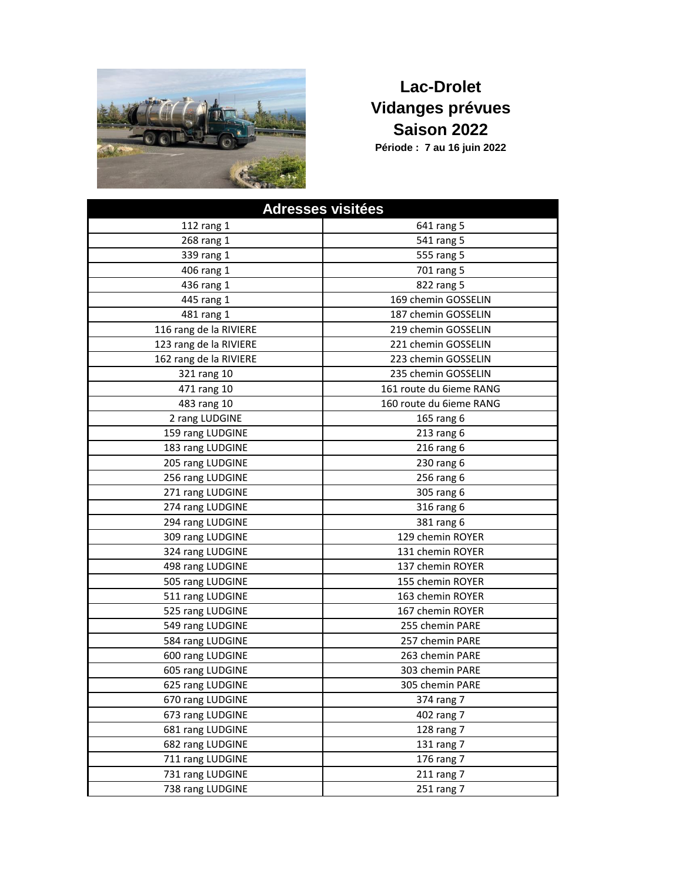

## **Lac-Drolet Vidanges prévues Saison 2022**

**Période : 7 au 16 juin 2022**

| <b>Adresses visitées</b> |                         |
|--------------------------|-------------------------|
| 112 rang 1               | 641 rang 5              |
| 268 rang 1               | 541 rang 5              |
| 339 rang 1               | 555 rang 5              |
| 406 rang 1               | 701 rang 5              |
| 436 rang 1               | 822 rang 5              |
| 445 rang 1               | 169 chemin GOSSELIN     |
| 481 rang 1               | 187 chemin GOSSELIN     |
| 116 rang de la RIVIERE   | 219 chemin GOSSELIN     |
| 123 rang de la RIVIERE   | 221 chemin GOSSELIN     |
| 162 rang de la RIVIERE   | 223 chemin GOSSELIN     |
| 321 rang 10              | 235 chemin GOSSELIN     |
| 471 rang 10              | 161 route du 6ieme RANG |
| 483 rang 10              | 160 route du 6ieme RANG |
| 2 rang LUDGINE           | 165 rang 6              |
| 159 rang LUDGINE         | 213 rang 6              |
| 183 rang LUDGINE         | 216 rang 6              |
| 205 rang LUDGINE         | 230 rang 6              |
| 256 rang LUDGINE         | 256 rang 6              |
| 271 rang LUDGINE         | 305 rang 6              |
| 274 rang LUDGINE         | 316 rang 6              |
| 294 rang LUDGINE         | 381 rang 6              |
| 309 rang LUDGINE         | 129 chemin ROYER        |
| 324 rang LUDGINE         | 131 chemin ROYER        |
| 498 rang LUDGINE         | 137 chemin ROYER        |
| 505 rang LUDGINE         | 155 chemin ROYER        |
| 511 rang LUDGINE         | 163 chemin ROYER        |
| 525 rang LUDGINE         | 167 chemin ROYER        |
| 549 rang LUDGINE         | 255 chemin PARE         |
| 584 rang LUDGINE         | 257 chemin PARE         |
| 600 rang LUDGINE         | 263 chemin PARE         |
| 605 rang LUDGINE         | 303 chemin PARE         |
| 625 rang LUDGINE         | 305 chemin PARE         |
| 670 rang LUDGINE         | 374 rang 7              |
| 673 rang LUDGINE         | 402 rang 7              |
| 681 rang LUDGINE         | 128 rang 7              |
| 682 rang LUDGINE         | 131 rang 7              |
| 711 rang LUDGINE         | 176 rang 7              |
| 731 rang LUDGINE         | 211 rang 7              |
| 738 rang LUDGINE         | 251 rang 7              |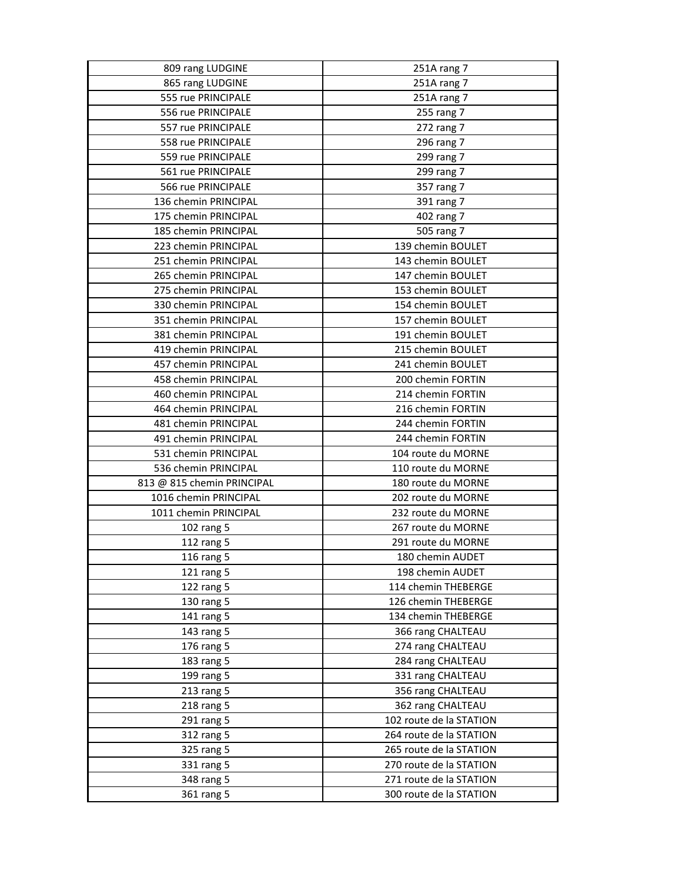| 809 rang LUDGINE           | 251A rang 7             |
|----------------------------|-------------------------|
| 865 rang LUDGINE           | 251A rang 7             |
| 555 rue PRINCIPALE         | 251A rang 7             |
| 556 rue PRINCIPALE         | 255 rang 7              |
| 557 rue PRINCIPALE         | 272 rang 7              |
| 558 rue PRINCIPALE         | 296 rang 7              |
| 559 rue PRINCIPALE         | 299 rang 7              |
| 561 rue PRINCIPALE         | 299 rang 7              |
| 566 rue PRINCIPALE         | 357 rang 7              |
| 136 chemin PRINCIPAL       | 391 rang 7              |
| 175 chemin PRINCIPAL       | 402 rang 7              |
| 185 chemin PRINCIPAL       | 505 rang 7              |
| 223 chemin PRINCIPAL       | 139 chemin BOULET       |
| 251 chemin PRINCIPAL       | 143 chemin BOULET       |
| 265 chemin PRINCIPAL       | 147 chemin BOULET       |
| 275 chemin PRINCIPAL       | 153 chemin BOULET       |
| 330 chemin PRINCIPAL       | 154 chemin BOULET       |
| 351 chemin PRINCIPAL       | 157 chemin BOULET       |
| 381 chemin PRINCIPAL       | 191 chemin BOULET       |
| 419 chemin PRINCIPAL       | 215 chemin BOULET       |
| 457 chemin PRINCIPAL       | 241 chemin BOULET       |
| 458 chemin PRINCIPAL       | 200 chemin FORTIN       |
| 460 chemin PRINCIPAL       | 214 chemin FORTIN       |
| 464 chemin PRINCIPAL       | 216 chemin FORTIN       |
| 481 chemin PRINCIPAL       | 244 chemin FORTIN       |
| 491 chemin PRINCIPAL       | 244 chemin FORTIN       |
| 531 chemin PRINCIPAL       | 104 route du MORNE      |
| 536 chemin PRINCIPAL       | 110 route du MORNE      |
| 813 @ 815 chemin PRINCIPAL | 180 route du MORNE      |
| 1016 chemin PRINCIPAL      | 202 route du MORNE      |
| 1011 chemin PRINCIPAL      | 232 route du MORNE      |
| 102 rang 5                 | 267 route du MORNE      |
| 112 rang 5                 | 291 route du MORNE      |
| 116 rang 5                 | 180 chemin AUDET        |
| 121 rang 5                 | 198 chemin AUDET        |
| 122 rang 5                 | 114 chemin THEBERGE     |
| 130 rang 5                 | 126 chemin THEBERGE     |
| 141 rang 5                 | 134 chemin THEBERGE     |
| 143 rang 5                 | 366 rang CHALTEAU       |
| 176 rang 5                 | 274 rang CHALTEAU       |
| 183 rang 5                 | 284 rang CHALTEAU       |
| 199 rang 5                 | 331 rang CHALTEAU       |
| 213 rang 5                 | 356 rang CHALTEAU       |
| 218 rang 5                 | 362 rang CHALTEAU       |
| 291 rang 5                 | 102 route de la STATION |
| 312 rang 5                 | 264 route de la STATION |
| 325 rang 5                 | 265 route de la STATION |
| 331 rang 5                 | 270 route de la STATION |
| 348 rang 5                 | 271 route de la STATION |
| 361 rang 5                 | 300 route de la STATION |